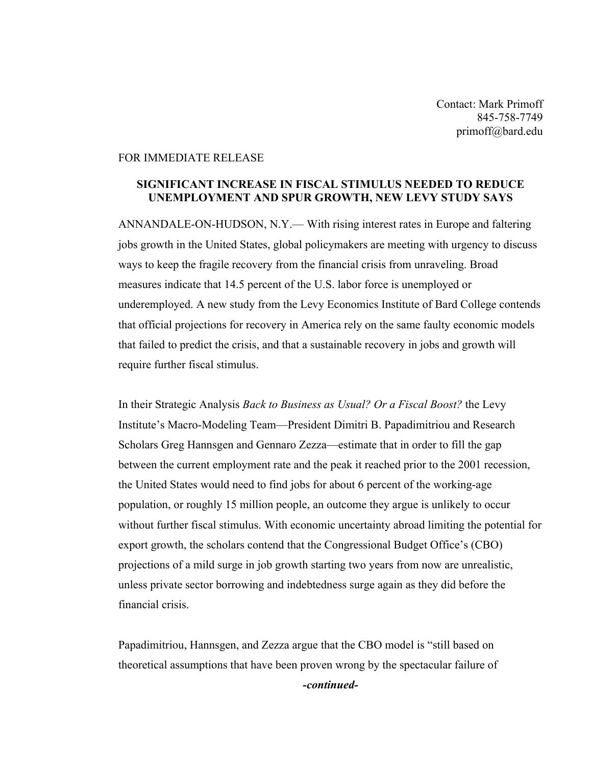Contact: Mark Primoff 845-758-7749 primoff@bard.edu

## FOR IMMEDIATE RELEASE

## **SIGNIFICANT INCREASE IN FISCAL STIMULUS NEEDED TO REDUCE UNEMPLOYMENT AND SPUR GROWTH, NEW LEVY STUDY SAYS**

ANNANDALE-ON-HUDSON, N.Y.— With rising interest rates in Europe and faltering jobs growth in the United States, global policymakers are meeting with urgency to discuss ways to keep the fragile recovery from the financial crisis from unraveling. Broad measures indicate that 14.5 percent of the U.S. labor force is unemployed or underemployed. A new study from the Levy Economics Institute of Bard College contends that official projections for recovery in America rely on the same faulty economic models that failed to predict the crisis, and that a sustainable recovery in jobs and growth will require further fiscal stimulus.

In their Strategic Analysis *Back to Business as Usual? Or a Fiscal Boost?* the Levy Institute's Macro-Modeling Team—President Dimitri B. Papadimitriou and Research Scholars Greg Hannsgen and Gennaro Zezza—estimate that in order to fill the gap between the current employment rate and the peak it reached prior to the 2001 recession, the United States would need to find jobs for about 6 percent of the working-age population, or roughly 15 million people, an outcome they argue is unlikely to occur without further fiscal stimulus. With economic uncertainty abroad limiting the potential for export growth, the scholars contend that the Congressional Budget Office's (CBO) projections of a mild surge in job growth starting two years from now are unrealistic, unless private sector borrowing and indebtedness surge again as they did before the financial crisis.

Papadimitriou, Hannsgen, and Zezza argue that the CBO model is "still based on theoretical assumptions that have been proven wrong by the spectacular failure of *-continued-*